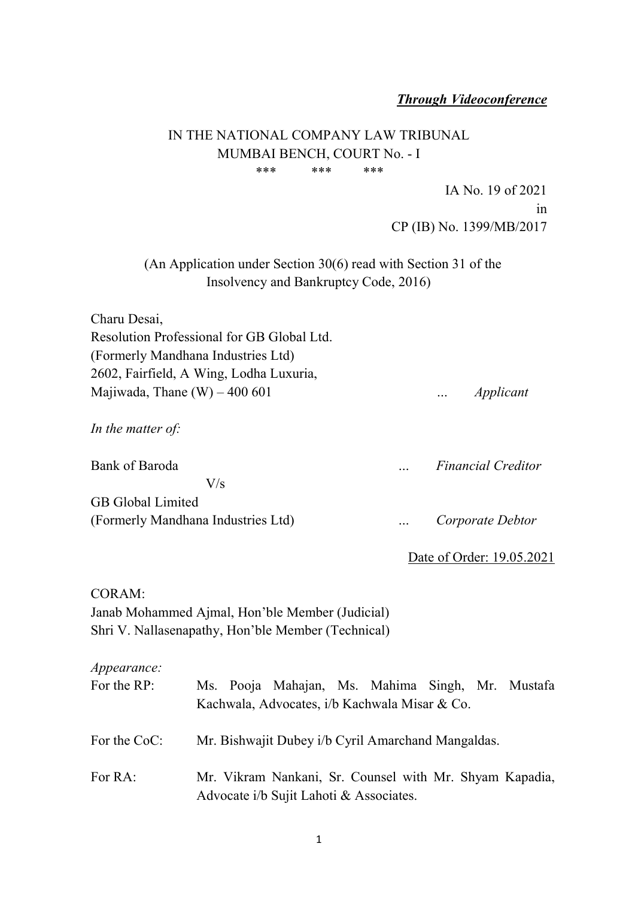#### Through Videoconference

# IN THE NATIONAL COMPANY LAW TRIBUNAL MUMBAI BENCH, COURT No. - I \*\*\* \*\*\* \*\*\*

IA No. 19 of 2021 in CP (IB) No. 1399/MB/2017

(An Application under Section 30(6) read with Section 31 of the Insolvency and Bankruptcy Code, 2016)

| Charu Desai,                               |           |
|--------------------------------------------|-----------|
| Resolution Professional for GB Global Ltd. |           |
| (Formerly Mandhana Industries Ltd)         |           |
| 2602, Fairfield, A Wing, Lodha Luxuria,    |           |
| Majiwada, Thane $(W) - 400601$             | Applicant |
| In the matter of:                          |           |

Bank of Baroda <br>
Einancial Creditor V/s GB Global Limited (Formerly Mandhana Industries Ltd) … Corporate Debtor

Date of Order: 19.05.2021

# CORAM: Janab Mohammed Ajmal, Hon'ble Member (Judicial) Shri V. Nallasenapathy, Hon'ble Member (Technical)

Appearance:

| For the RP:  | Ms. Pooja Mahajan, Ms. Mahima Singh, Mr. Mustafa        |  |  |  |
|--------------|---------------------------------------------------------|--|--|--|
|              | Kachwala, Advocates, i/b Kachwala Misar & Co.           |  |  |  |
|              |                                                         |  |  |  |
| For the CoC: | Mr. Bishwajit Dubey i/b Cyril Amarchand Mangaldas.      |  |  |  |
|              |                                                         |  |  |  |
| For RA:      | Mr. Vikram Nankani, Sr. Counsel with Mr. Shyam Kapadia, |  |  |  |
|              | Advocate i/b Sujit Lahoti & Associates.                 |  |  |  |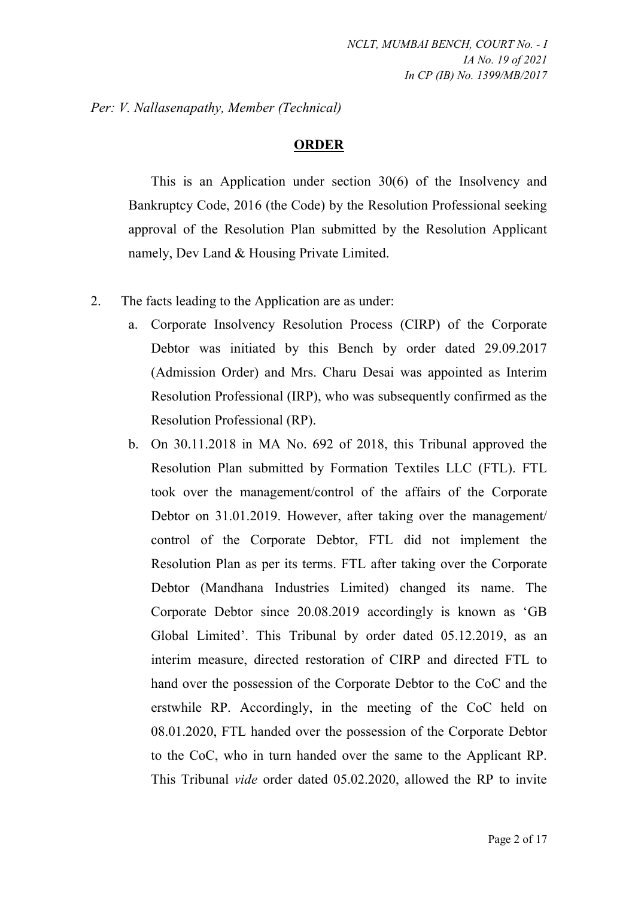Per: V. Nallasenapathy, Member (Technical)

# ORDER

This is an Application under section 30(6) of the Insolvency and Bankruptcy Code, 2016 (the Code) by the Resolution Professional seeking approval of the Resolution Plan submitted by the Resolution Applicant namely, Dev Land & Housing Private Limited.

- 2. The facts leading to the Application are as under:
	- a. Corporate Insolvency Resolution Process (CIRP) of the Corporate Debtor was initiated by this Bench by order dated 29.09.2017 (Admission Order) and Mrs. Charu Desai was appointed as Interim Resolution Professional (IRP), who was subsequently confirmed as the Resolution Professional (RP).
	- b. On 30.11.2018 in MA No. 692 of 2018, this Tribunal approved the Resolution Plan submitted by Formation Textiles LLC (FTL). FTL took over the management/control of the affairs of the Corporate Debtor on 31.01.2019. However, after taking over the management/ control of the Corporate Debtor, FTL did not implement the Resolution Plan as per its terms. FTL after taking over the Corporate Debtor (Mandhana Industries Limited) changed its name. The Corporate Debtor since 20.08.2019 accordingly is known as 'GB Global Limited'. This Tribunal by order dated 05.12.2019, as an interim measure, directed restoration of CIRP and directed FTL to hand over the possession of the Corporate Debtor to the CoC and the erstwhile RP. Accordingly, in the meeting of the CoC held on 08.01.2020, FTL handed over the possession of the Corporate Debtor to the CoC, who in turn handed over the same to the Applicant RP. This Tribunal vide order dated 05.02.2020, allowed the RP to invite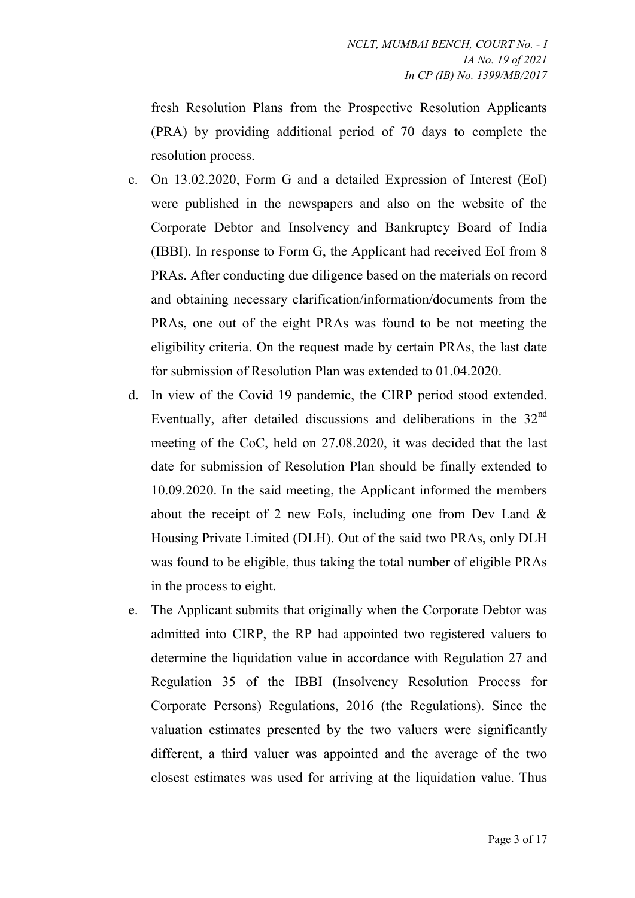fresh Resolution Plans from the Prospective Resolution Applicants (PRA) by providing additional period of 70 days to complete the resolution process.

- c. On 13.02.2020, Form G and a detailed Expression of Interest (EoI) were published in the newspapers and also on the website of the Corporate Debtor and Insolvency and Bankruptcy Board of India (IBBI). In response to Form G, the Applicant had received EoI from 8 PRAs. After conducting due diligence based on the materials on record and obtaining necessary clarification/information/documents from the PRAs, one out of the eight PRAs was found to be not meeting the eligibility criteria. On the request made by certain PRAs, the last date for submission of Resolution Plan was extended to 01.04.2020.
- d. In view of the Covid 19 pandemic, the CIRP period stood extended. Eventually, after detailed discussions and deliberations in the  $32<sup>nd</sup>$ meeting of the CoC, held on 27.08.2020, it was decided that the last date for submission of Resolution Plan should be finally extended to 10.09.2020. In the said meeting, the Applicant informed the members about the receipt of 2 new EoIs, including one from Dev Land  $\&$ Housing Private Limited (DLH). Out of the said two PRAs, only DLH was found to be eligible, thus taking the total number of eligible PRAs in the process to eight.
- e. The Applicant submits that originally when the Corporate Debtor was admitted into CIRP, the RP had appointed two registered valuers to determine the liquidation value in accordance with Regulation 27 and Regulation 35 of the IBBI (Insolvency Resolution Process for Corporate Persons) Regulations, 2016 (the Regulations). Since the valuation estimates presented by the two valuers were significantly different, a third valuer was appointed and the average of the two closest estimates was used for arriving at the liquidation value. Thus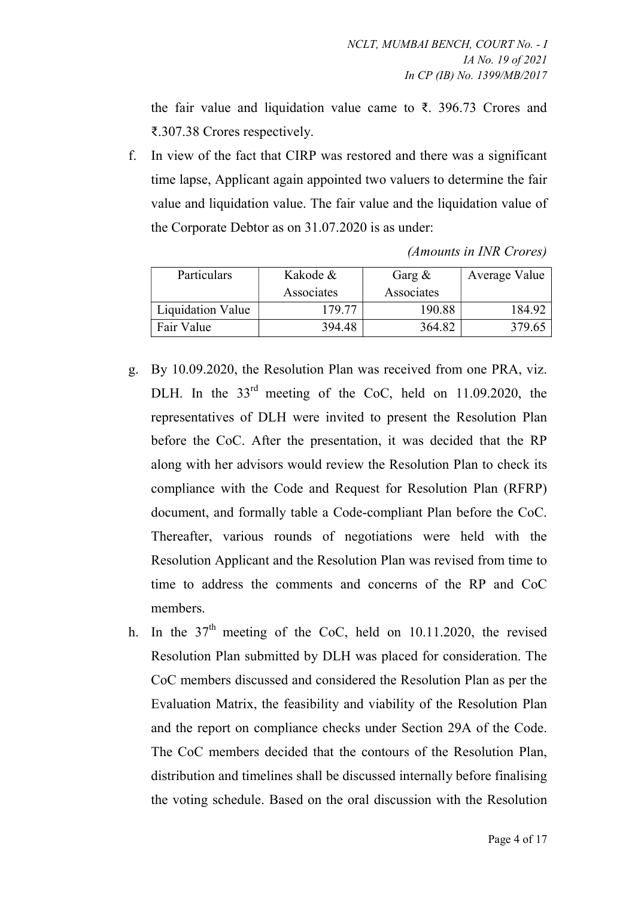the fair value and liquidation value came to ₹. 396.73 Crores and ₹.307.38 Crores respectively.

f. In view of the fact that CIRP was restored and there was a significant time lapse, Applicant again appointed two valuers to determine the fair value and liquidation value. The fair value and the liquidation value of the Corporate Debtor as on 31.07.2020 is as under:

| Particulars              | Kakode &   | Garg $\&$  | Average Value |
|--------------------------|------------|------------|---------------|
|                          | Associates | Associates |               |
| <b>Liquidation Value</b> | 179.77     | 190.88     | 184.92        |
| Fair Value               | 394.48     | 364.82     | 379.65        |

(Amounts in INR Crores)

- g. By 10.09.2020, the Resolution Plan was received from one PRA, viz. DLH. In the  $33<sup>rd</sup>$  meeting of the CoC, held on 11.09.2020, the representatives of DLH were invited to present the Resolution Plan before the CoC. After the presentation, it was decided that the RP along with her advisors would review the Resolution Plan to check its compliance with the Code and Request for Resolution Plan (RFRP) document, and formally table a Code-compliant Plan before the CoC. Thereafter, various rounds of negotiations were held with the Resolution Applicant and the Resolution Plan was revised from time to time to address the comments and concerns of the RP and CoC members.
- h. In the  $37<sup>th</sup>$  meeting of the CoC, held on 10.11.2020, the revised Resolution Plan submitted by DLH was placed for consideration. The CoC members discussed and considered the Resolution Plan as per the Evaluation Matrix, the feasibility and viability of the Resolution Plan and the report on compliance checks under Section 29A of the Code. The CoC members decided that the contours of the Resolution Plan, distribution and timelines shall be discussed internally before finalising the voting schedule. Based on the oral discussion with the Resolution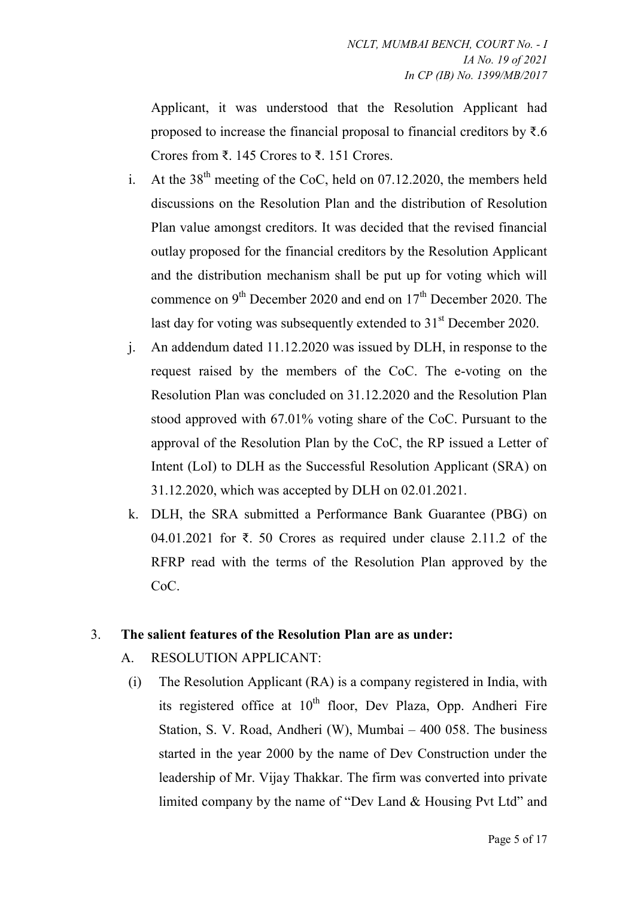Applicant, it was understood that the Resolution Applicant had proposed to increase the financial proposal to financial creditors by  $\bar{\tau}$ .6 Crores from ₹. 145 Crores to ₹. 151 Crores.

- i. At the  $38<sup>th</sup>$  meeting of the CoC, held on 07.12.2020, the members held discussions on the Resolution Plan and the distribution of Resolution Plan value amongst creditors. It was decided that the revised financial outlay proposed for the financial creditors by the Resolution Applicant and the distribution mechanism shall be put up for voting which will commence on  $9<sup>th</sup>$  December 2020 and end on  $17<sup>th</sup>$  December 2020. The last day for voting was subsequently extended to  $31<sup>st</sup>$  December 2020.
- j. An addendum dated 11.12.2020 was issued by DLH, in response to the request raised by the members of the CoC. The e-voting on the Resolution Plan was concluded on 31.12.2020 and the Resolution Plan stood approved with 67.01% voting share of the CoC. Pursuant to the approval of the Resolution Plan by the CoC, the RP issued a Letter of Intent (LoI) to DLH as the Successful Resolution Applicant (SRA) on 31.12.2020, which was accepted by DLH on 02.01.2021.
- k. DLH, the SRA submitted a Performance Bank Guarantee (PBG) on 04.01.2021 for ₹. 50 Crores as required under clause 2.11.2 of the RFRP read with the terms of the Resolution Plan approved by the CoC.

# 3. The salient features of the Resolution Plan are as under:

- A. RESOLUTION APPLICANT:
	- (i) The Resolution Applicant (RA) is a company registered in India, with its registered office at  $10^{th}$  floor, Dev Plaza, Opp. Andheri Fire Station, S. V. Road, Andheri (W), Mumbai – 400 058. The business started in the year 2000 by the name of Dev Construction under the leadership of Mr. Vijay Thakkar. The firm was converted into private limited company by the name of "Dev Land & Housing Pvt Ltd" and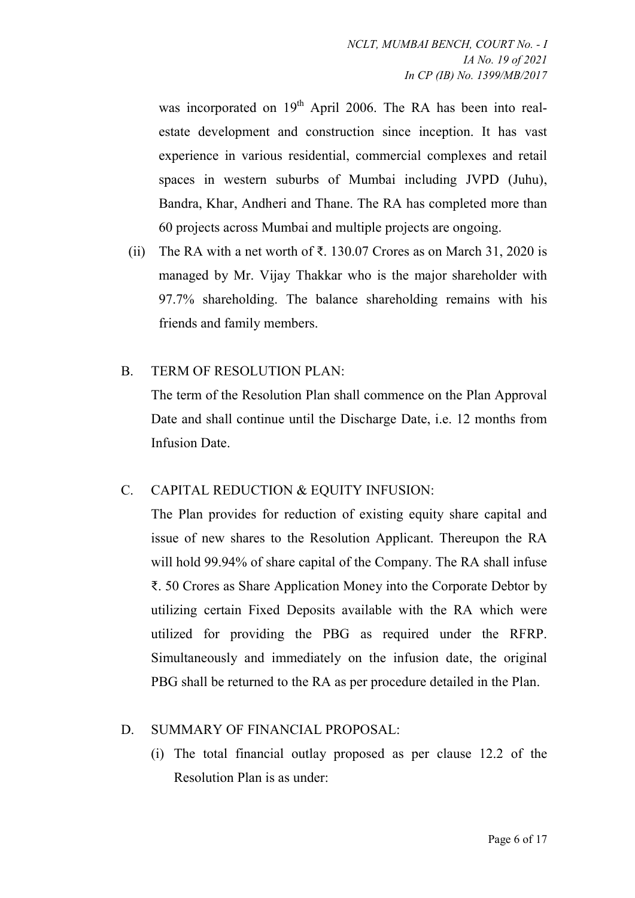was incorporated on  $19<sup>th</sup>$  April 2006. The RA has been into realestate development and construction since inception. It has vast experience in various residential, commercial complexes and retail spaces in western suburbs of Mumbai including JVPD (Juhu), Bandra, Khar, Andheri and Thane. The RA has completed more than 60 projects across Mumbai and multiple projects are ongoing.

(ii) The RA with a net worth of  $\bar{\tau}$ . 130.07 Crores as on March 31, 2020 is managed by Mr. Vijay Thakkar who is the major shareholder with 97.7% shareholding. The balance shareholding remains with his friends and family members.

# B. TERM OF RESOLUTION PLAN:

The term of the Resolution Plan shall commence on the Plan Approval Date and shall continue until the Discharge Date, i.e. 12 months from Infusion Date.

# C. CAPITAL REDUCTION & EQUITY INFUSION:

The Plan provides for reduction of existing equity share capital and issue of new shares to the Resolution Applicant. Thereupon the RA will hold 99.94% of share capital of the Company. The RA shall infuse ₹. 50 Crores as Share Application Money into the Corporate Debtor by utilizing certain Fixed Deposits available with the RA which were utilized for providing the PBG as required under the RFRP. Simultaneously and immediately on the infusion date, the original PBG shall be returned to the RA as per procedure detailed in the Plan.

# D. SUMMARY OF FINANCIAL PROPOSAL:

(i) The total financial outlay proposed as per clause 12.2 of the Resolution Plan is as under: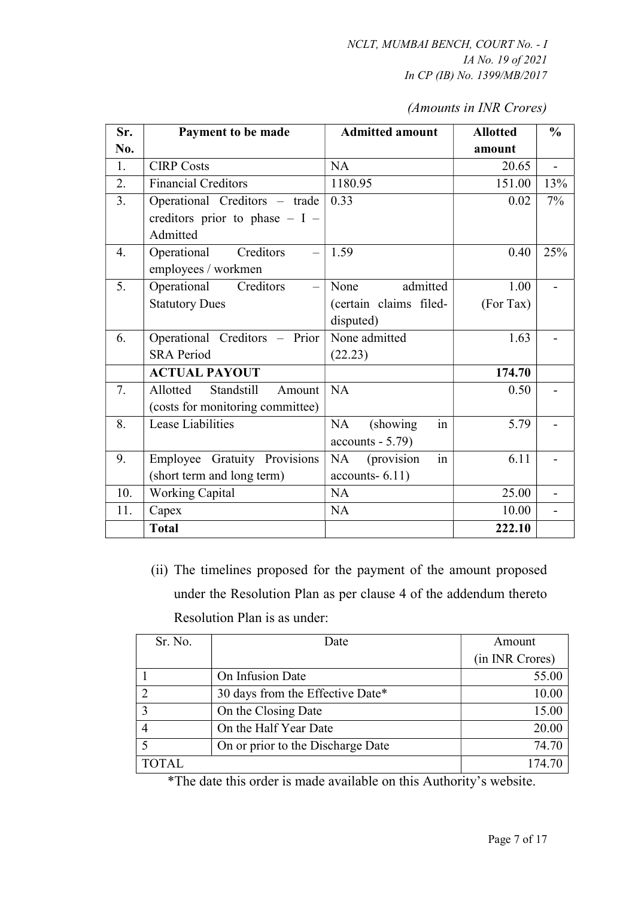| (Amounts in INR Crores) |  |  |  |
|-------------------------|--|--|--|
|-------------------------|--|--|--|

| Sr. | Payment to be made               | <b>Admitted amount</b> | <b>Allotted</b> | $\frac{6}{9}$  |
|-----|----------------------------------|------------------------|-----------------|----------------|
| No. |                                  |                        | amount          |                |
| 1.  | <b>CIRP Costs</b>                | NA                     | 20.65           | $\overline{a}$ |
| 2.  | <b>Financial Creditors</b>       | 1180.95                | 151.00          | 13%            |
| 3.  | Operational Creditors - trade    | 0.33                   | 0.02            | $7\%$          |
|     | creditors prior to phase $- I -$ |                        |                 |                |
|     | Admitted                         |                        |                 |                |
| 4.  | Operational<br>Creditors         | 1.59                   | 0.40            | 25%            |
|     | employees / workmen              |                        |                 |                |
| 5.  | Operational<br>Creditors         | admitted<br>None       | 1.00            |                |
|     | <b>Statutory Dues</b>            | (certain claims filed- | (For Tax)       |                |
|     |                                  | disputed)              |                 |                |
| 6.  | Operational Creditors - Prior    | None admitted          | 1.63            |                |
|     | <b>SRA Period</b>                | (22.23)                |                 |                |
|     | <b>ACTUAL PAYOUT</b>             |                        | 174.70          |                |
| 7.  | Allotted<br>Standstill<br>Amount | NA                     | 0.50            |                |
|     | (costs for monitoring committee) |                        |                 |                |
| 8.  | Lease Liabilities                | NA<br>(showing)<br>in  | 5.79            |                |
|     |                                  | $accounts - 5.79$      |                 |                |
| 9.  | Employee Gratuity Provisions     | (provision<br>NA<br>1n | 6.11            |                |
|     | (short term and long term)       | $accounts-6.11)$       |                 |                |
| 10. | <b>Working Capital</b>           | NA                     | 25.00           |                |
| 11. | Capex                            | NA                     | 10.00           |                |
|     | <b>Total</b>                     |                        | 222.10          |                |

(ii) The timelines proposed for the payment of the amount proposed under the Resolution Plan as per clause 4 of the addendum thereto Resolution Plan is as under:

| Sr. No.      | Date                              | Amount          |
|--------------|-----------------------------------|-----------------|
|              |                                   | (in INR Crores) |
|              | On Infusion Date                  | 55.00           |
|              | 30 days from the Effective Date*  | 10.00           |
| 3            | On the Closing Date               | 15.00           |
|              | On the Half Year Date             | 20.00           |
|              | On or prior to the Discharge Date | 74.70           |
| <b>TOTAL</b> |                                   | 174.70          |

\*The date this order is made available on this Authority's website.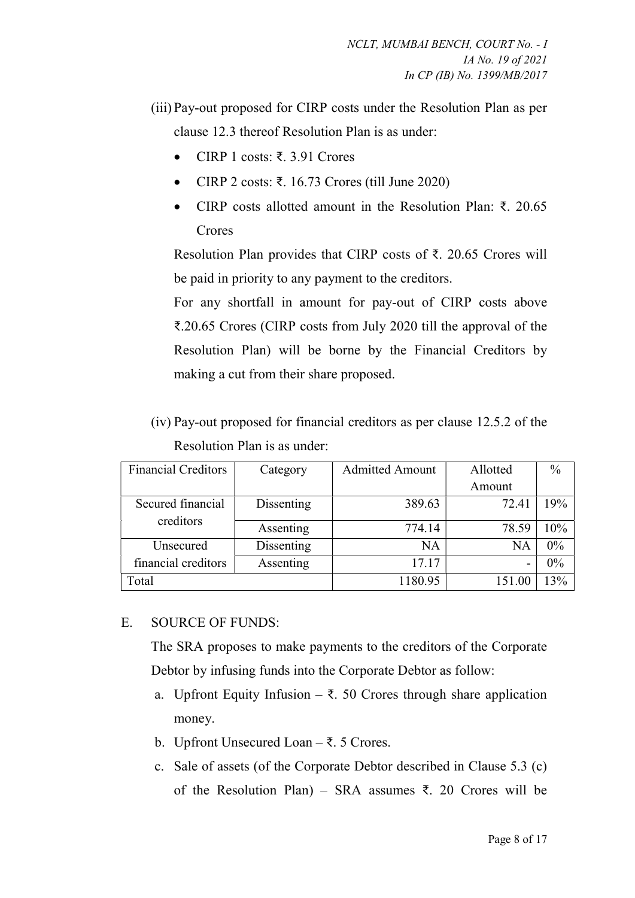- (iii) Pay-out proposed for CIRP costs under the Resolution Plan as per clause 12.3 thereof Resolution Plan is as under:
	- CIRP 1 costs: ₹. 3.91 Crores
	- CIRP 2 costs: ₹. 16.73 Crores (till June 2020)
	- CIRP costs allotted amount in the Resolution Plan: ₹. 20.65 Crores

Resolution Plan provides that CIRP costs of ₹. 20.65 Crores will be paid in priority to any payment to the creditors.

For any shortfall in amount for pay-out of CIRP costs above ₹.20.65 Crores (CIRP costs from July 2020 till the approval of the Resolution Plan) will be borne by the Financial Creditors by making a cut from their share proposed.

(iv) Pay-out proposed for financial creditors as per clause 12.5.2 of the Resolution Plan is as under:

| <b>Financial Creditors</b>     | Category   | <b>Admitted Amount</b> | Allotted | $\frac{0}{0}$ |
|--------------------------------|------------|------------------------|----------|---------------|
|                                |            |                        | Amount   |               |
| Secured financial<br>creditors | Dissenting | 389.63                 | 72.41    | 19%           |
|                                | Assenting  | 774.14                 | 78.59    | 10%           |
| Unsecured                      | Dissenting | NA                     | NA       | $0\%$         |
| financial creditors            | Assenting  | 17.17                  |          | $0\%$         |
| Total                          |            | 1180.95                | 151.00   | 13%           |

#### E. SOURCE OF FUNDS:

The SRA proposes to make payments to the creditors of the Corporate Debtor by infusing funds into the Corporate Debtor as follow:

- a. Upfront Equity Infusion  $\bar{\tau}$ . 50 Crores through share application money.
- b. Upfront Unsecured Loan ₹. 5 Crores.
- c. Sale of assets (of the Corporate Debtor described in Clause 5.3 (c) of the Resolution Plan) – SRA assumes ₹. 20 Crores will be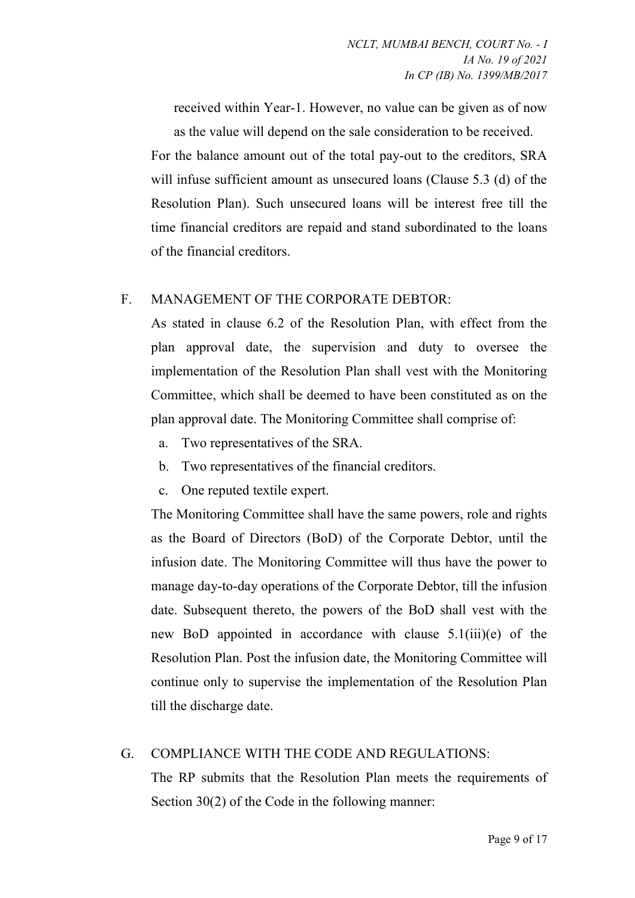received within Year-1. However, no value can be given as of now as the value will depend on the sale consideration to be received.

For the balance amount out of the total pay-out to the creditors, SRA will infuse sufficient amount as unsecured loans (Clause 5.3 (d) of the Resolution Plan). Such unsecured loans will be interest free till the time financial creditors are repaid and stand subordinated to the loans of the financial creditors.

# F. MANAGEMENT OF THE CORPORATE DEBTOR:

As stated in clause 6.2 of the Resolution Plan, with effect from the plan approval date, the supervision and duty to oversee the implementation of the Resolution Plan shall vest with the Monitoring Committee, which shall be deemed to have been constituted as on the plan approval date. The Monitoring Committee shall comprise of:

- a. Two representatives of the SRA.
- b. Two representatives of the financial creditors.
- c. One reputed textile expert.

The Monitoring Committee shall have the same powers, role and rights as the Board of Directors (BoD) of the Corporate Debtor, until the infusion date. The Monitoring Committee will thus have the power to manage day-to-day operations of the Corporate Debtor, till the infusion date. Subsequent thereto, the powers of the BoD shall vest with the new BoD appointed in accordance with clause 5.1(iii)(e) of the Resolution Plan. Post the infusion date, the Monitoring Committee will continue only to supervise the implementation of the Resolution Plan till the discharge date.

# G. COMPLIANCE WITH THE CODE AND REGULATIONS:

The RP submits that the Resolution Plan meets the requirements of Section 30(2) of the Code in the following manner: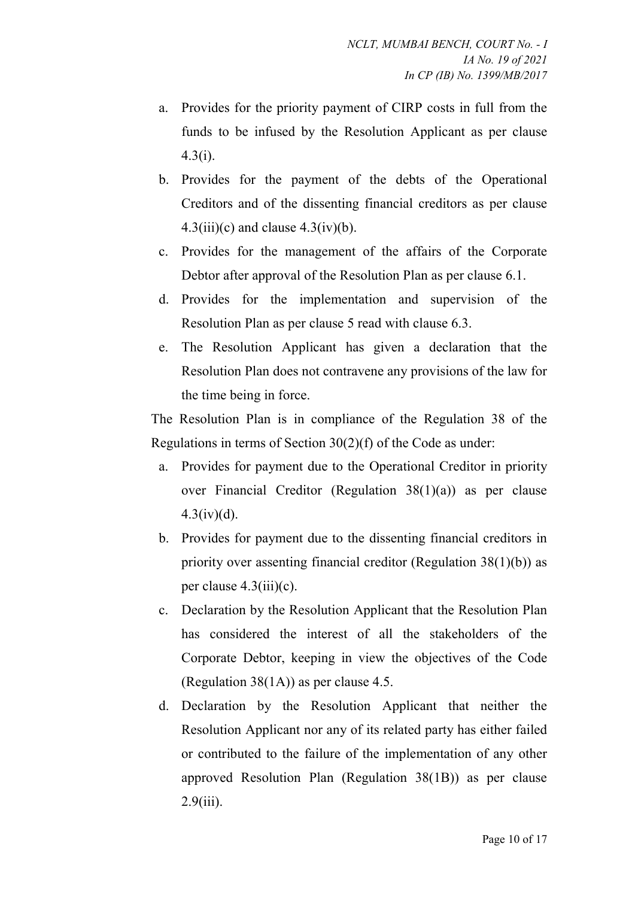- a. Provides for the priority payment of CIRP costs in full from the funds to be infused by the Resolution Applicant as per clause 4.3(i).
- b. Provides for the payment of the debts of the Operational Creditors and of the dissenting financial creditors as per clause  $4.3(iii)(c)$  and clause  $4.3(iv)(b)$ .
- c. Provides for the management of the affairs of the Corporate Debtor after approval of the Resolution Plan as per clause 6.1.
- d. Provides for the implementation and supervision of the Resolution Plan as per clause 5 read with clause 6.3.
- e. The Resolution Applicant has given a declaration that the Resolution Plan does not contravene any provisions of the law for the time being in force.

The Resolution Plan is in compliance of the Regulation 38 of the Regulations in terms of Section 30(2)(f) of the Code as under:

- a. Provides for payment due to the Operational Creditor in priority over Financial Creditor (Regulation 38(1)(a)) as per clause  $4.3(iv)(d)$ .
- b. Provides for payment due to the dissenting financial creditors in priority over assenting financial creditor (Regulation 38(1)(b)) as per clause  $4.3(iii)(c)$ .
- c. Declaration by the Resolution Applicant that the Resolution Plan has considered the interest of all the stakeholders of the Corporate Debtor, keeping in view the objectives of the Code (Regulation 38(1A)) as per clause 4.5.
- d. Declaration by the Resolution Applicant that neither the Resolution Applicant nor any of its related party has either failed or contributed to the failure of the implementation of any other approved Resolution Plan (Regulation 38(1B)) as per clause  $2.9(iii)$ .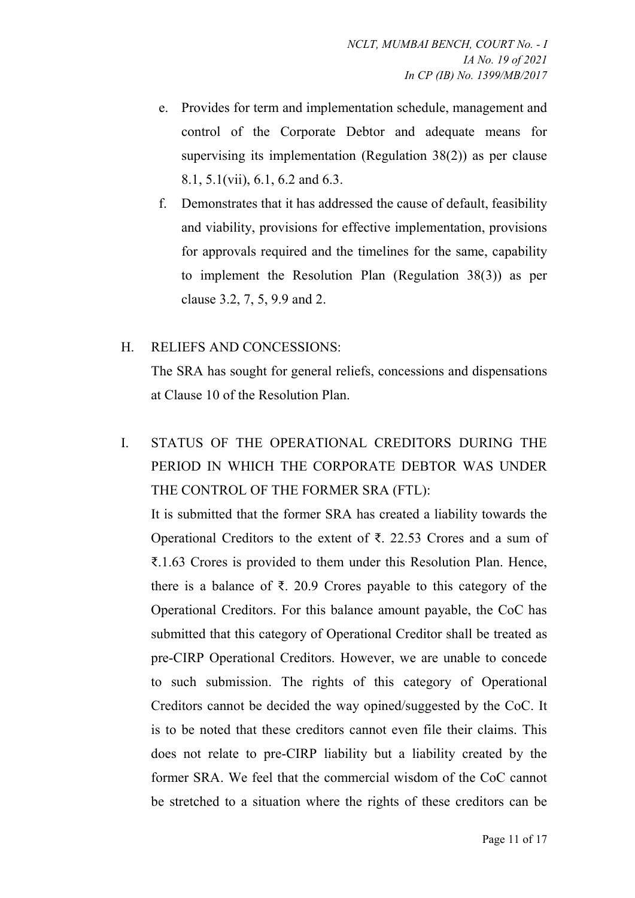- e. Provides for term and implementation schedule, management and control of the Corporate Debtor and adequate means for supervising its implementation (Regulation 38(2)) as per clause 8.1, 5.1(vii), 6.1, 6.2 and 6.3.
- f. Demonstrates that it has addressed the cause of default, feasibility and viability, provisions for effective implementation, provisions for approvals required and the timelines for the same, capability to implement the Resolution Plan (Regulation 38(3)) as per clause 3.2, 7, 5, 9.9 and 2.

# H. RELIEFS AND CONCESSIONS:

The SRA has sought for general reliefs, concessions and dispensations at Clause 10 of the Resolution Plan.

# I. STATUS OF THE OPERATIONAL CREDITORS DURING THE PERIOD IN WHICH THE CORPORATE DEBTOR WAS UNDER THE CONTROL OF THE FORMER SRA (FTL):

It is submitted that the former SRA has created a liability towards the Operational Creditors to the extent of ₹. 22.53 Crores and a sum of ₹.1.63 Crores is provided to them under this Resolution Plan. Hence, there is a balance of ₹. 20.9 Crores payable to this category of the Operational Creditors. For this balance amount payable, the CoC has submitted that this category of Operational Creditor shall be treated as pre-CIRP Operational Creditors. However, we are unable to concede to such submission. The rights of this category of Operational Creditors cannot be decided the way opined/suggested by the CoC. It is to be noted that these creditors cannot even file their claims. This does not relate to pre-CIRP liability but a liability created by the former SRA. We feel that the commercial wisdom of the CoC cannot be stretched to a situation where the rights of these creditors can be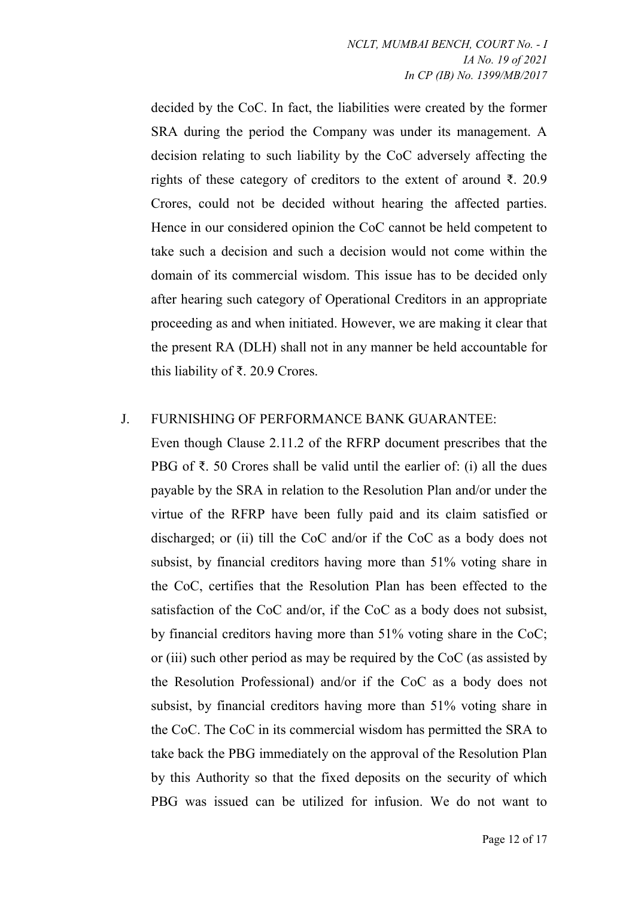decided by the CoC. In fact, the liabilities were created by the former SRA during the period the Company was under its management. A decision relating to such liability by the CoC adversely affecting the rights of these category of creditors to the extent of around ₹. 20.9 Crores, could not be decided without hearing the affected parties. Hence in our considered opinion the CoC cannot be held competent to take such a decision and such a decision would not come within the domain of its commercial wisdom. This issue has to be decided only after hearing such category of Operational Creditors in an appropriate proceeding as and when initiated. However, we are making it clear that the present RA (DLH) shall not in any manner be held accountable for this liability of ₹. 20.9 Crores.

# J. FURNISHING OF PERFORMANCE BANK GUARANTEE:

Even though Clause 2.11.2 of the RFRP document prescribes that the PBG of ₹. 50 Crores shall be valid until the earlier of: (i) all the dues payable by the SRA in relation to the Resolution Plan and/or under the virtue of the RFRP have been fully paid and its claim satisfied or discharged; or (ii) till the CoC and/or if the CoC as a body does not subsist, by financial creditors having more than 51% voting share in the CoC, certifies that the Resolution Plan has been effected to the satisfaction of the CoC and/or, if the CoC as a body does not subsist, by financial creditors having more than 51% voting share in the CoC; or (iii) such other period as may be required by the CoC (as assisted by the Resolution Professional) and/or if the CoC as a body does not subsist, by financial creditors having more than 51% voting share in the CoC. The CoC in its commercial wisdom has permitted the SRA to take back the PBG immediately on the approval of the Resolution Plan by this Authority so that the fixed deposits on the security of which PBG was issued can be utilized for infusion. We do not want to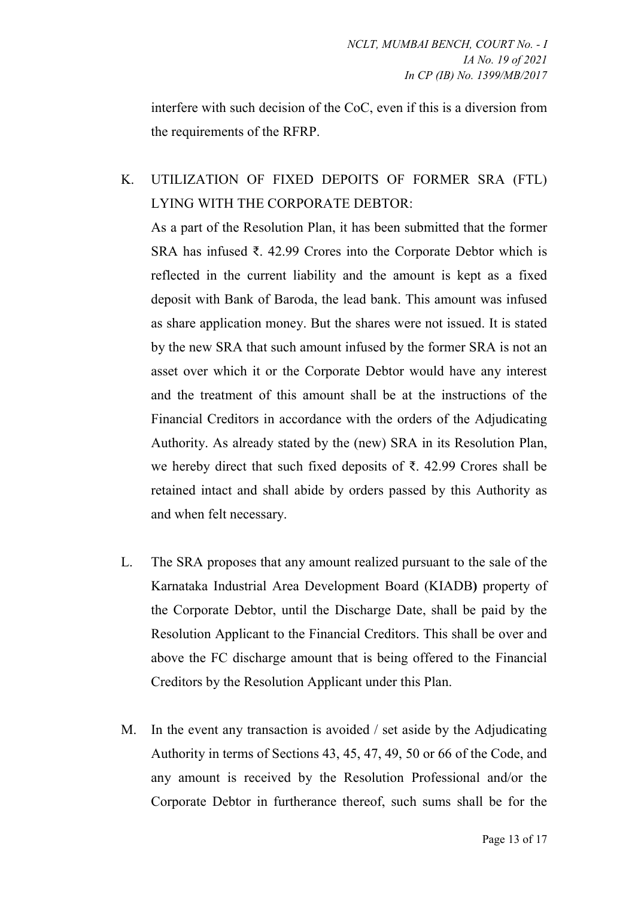interfere with such decision of the CoC, even if this is a diversion from the requirements of the RFRP.

# K. UTILIZATION OF FIXED DEPOITS OF FORMER SRA (FTL) LYING WITH THE CORPORATE DEBTOR:

As a part of the Resolution Plan, it has been submitted that the former SRA has infused ₹. 42.99 Crores into the Corporate Debtor which is reflected in the current liability and the amount is kept as a fixed deposit with Bank of Baroda, the lead bank. This amount was infused as share application money. But the shares were not issued. It is stated by the new SRA that such amount infused by the former SRA is not an asset over which it or the Corporate Debtor would have any interest and the treatment of this amount shall be at the instructions of the Financial Creditors in accordance with the orders of the Adjudicating Authority. As already stated by the (new) SRA in its Resolution Plan, we hereby direct that such fixed deposits of ₹. 42.99 Crores shall be retained intact and shall abide by orders passed by this Authority as and when felt necessary.

- L. The SRA proposes that any amount realized pursuant to the sale of the Karnataka Industrial Area Development Board (KIADB) property of the Corporate Debtor, until the Discharge Date, shall be paid by the Resolution Applicant to the Financial Creditors. This shall be over and above the FC discharge amount that is being offered to the Financial Creditors by the Resolution Applicant under this Plan.
- M. In the event any transaction is avoided / set aside by the Adjudicating Authority in terms of Sections 43, 45, 47, 49, 50 or 66 of the Code, and any amount is received by the Resolution Professional and/or the Corporate Debtor in furtherance thereof, such sums shall be for the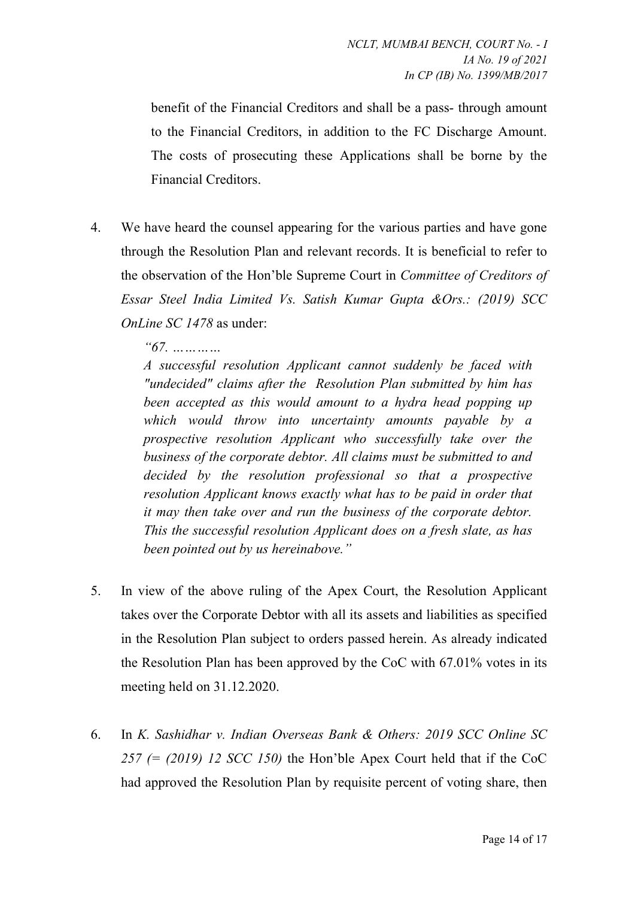benefit of the Financial Creditors and shall be a pass- through amount to the Financial Creditors, in addition to the FC Discharge Amount. The costs of prosecuting these Applications shall be borne by the Financial Creditors.

4. We have heard the counsel appearing for the various parties and have gone through the Resolution Plan and relevant records. It is beneficial to refer to the observation of the Hon'ble Supreme Court in Committee of Creditors of Essar Steel India Limited Vs. Satish Kumar Gupta &Ors.: (2019) SCC OnLine SC 1478 as under:

"67. …………

A successful resolution Applicant cannot suddenly be faced with "undecided" claims after the Resolution Plan submitted by him has been accepted as this would amount to a hydra head popping up which would throw into uncertainty amounts payable by a prospective resolution Applicant who successfully take over the business of the corporate debtor. All claims must be submitted to and decided by the resolution professional so that a prospective resolution Applicant knows exactly what has to be paid in order that it may then take over and run the business of the corporate debtor. This the successful resolution Applicant does on a fresh slate, as has been pointed out by us hereinabove."

- 5. In view of the above ruling of the Apex Court, the Resolution Applicant takes over the Corporate Debtor with all its assets and liabilities as specified in the Resolution Plan subject to orders passed herein. As already indicated the Resolution Plan has been approved by the CoC with 67.01% votes in its meeting held on 31.12.2020.
- 6. In K. Sashidhar v. Indian Overseas Bank & Others: 2019 SCC Online SC 257 (=  $(2019)$  12 SCC 150) the Hon'ble Apex Court held that if the CoC had approved the Resolution Plan by requisite percent of voting share, then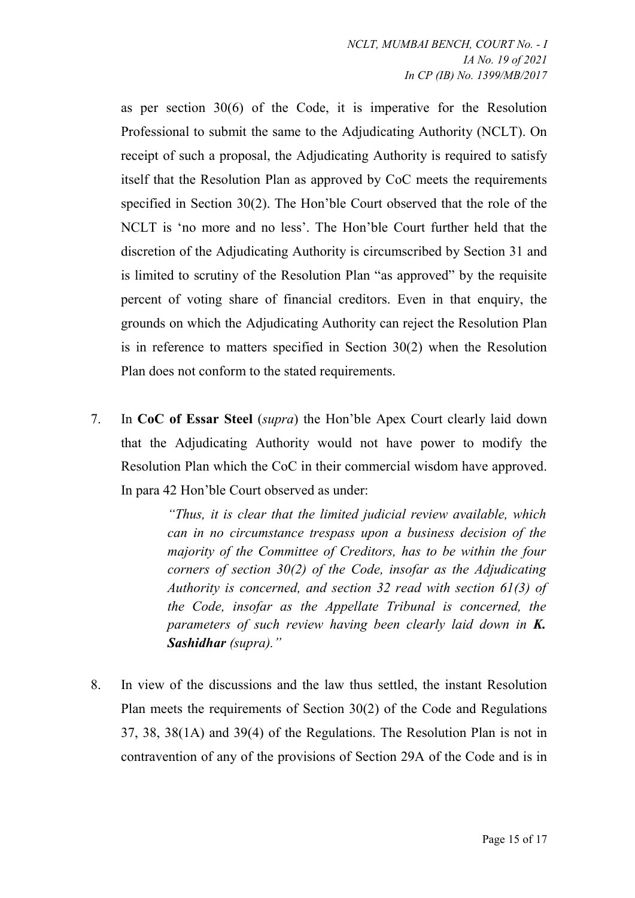as per section 30(6) of the Code, it is imperative for the Resolution Professional to submit the same to the Adjudicating Authority (NCLT). On receipt of such a proposal, the Adjudicating Authority is required to satisfy itself that the Resolution Plan as approved by CoC meets the requirements specified in Section 30(2). The Hon'ble Court observed that the role of the NCLT is 'no more and no less'. The Hon'ble Court further held that the discretion of the Adjudicating Authority is circumscribed by Section 31 and is limited to scrutiny of the Resolution Plan "as approved" by the requisite percent of voting share of financial creditors. Even in that enquiry, the grounds on which the Adjudicating Authority can reject the Resolution Plan is in reference to matters specified in Section 30(2) when the Resolution Plan does not conform to the stated requirements.

7. In CoC of Essar Steel (supra) the Hon'ble Apex Court clearly laid down that the Adjudicating Authority would not have power to modify the Resolution Plan which the CoC in their commercial wisdom have approved. In para 42 Hon'ble Court observed as under:

> "Thus, it is clear that the limited judicial review available, which can in no circumstance trespass upon a business decision of the majority of the Committee of Creditors, has to be within the four corners of section  $30(2)$  of the Code, insofar as the Adjudicating Authority is concerned, and section 32 read with section 61(3) of the Code, insofar as the Appellate Tribunal is concerned, the parameters of such review having been clearly laid down in K. Sashidhar (supra)."

8. In view of the discussions and the law thus settled, the instant Resolution Plan meets the requirements of Section 30(2) of the Code and Regulations 37, 38, 38(1A) and 39(4) of the Regulations. The Resolution Plan is not in contravention of any of the provisions of Section 29A of the Code and is in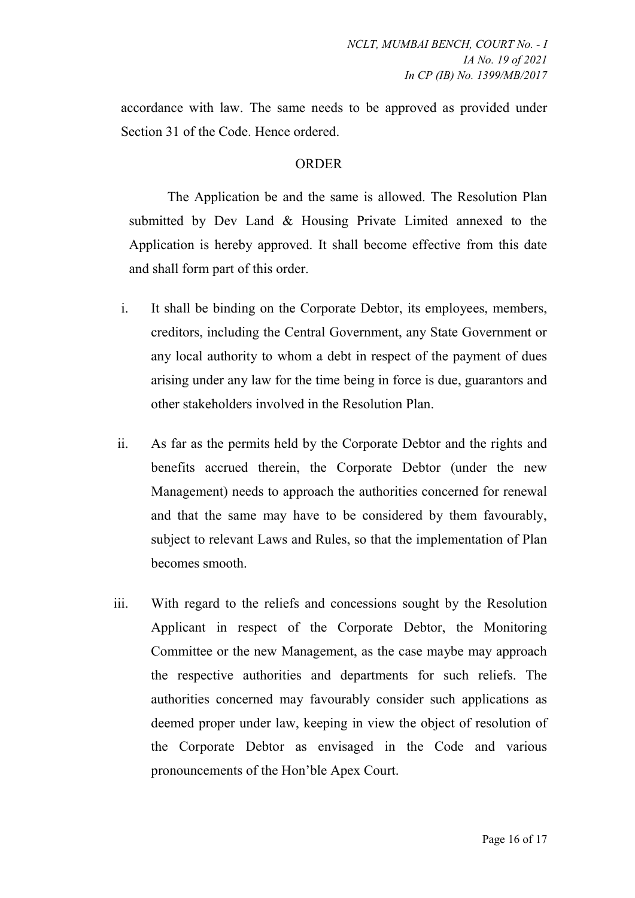accordance with law. The same needs to be approved as provided under Section 31 of the Code. Hence ordered.

#### **ORDER**

The Application be and the same is allowed. The Resolution Plan submitted by Dev Land & Housing Private Limited annexed to the Application is hereby approved. It shall become effective from this date and shall form part of this order.

- i. It shall be binding on the Corporate Debtor, its employees, members, creditors, including the Central Government, any State Government or any local authority to whom a debt in respect of the payment of dues arising under any law for the time being in force is due, guarantors and other stakeholders involved in the Resolution Plan.
- ii. As far as the permits held by the Corporate Debtor and the rights and benefits accrued therein, the Corporate Debtor (under the new Management) needs to approach the authorities concerned for renewal and that the same may have to be considered by them favourably, subject to relevant Laws and Rules, so that the implementation of Plan becomes smooth.
- iii. With regard to the reliefs and concessions sought by the Resolution Applicant in respect of the Corporate Debtor, the Monitoring Committee or the new Management, as the case maybe may approach the respective authorities and departments for such reliefs. The authorities concerned may favourably consider such applications as deemed proper under law, keeping in view the object of resolution of the Corporate Debtor as envisaged in the Code and various pronouncements of the Hon'ble Apex Court.